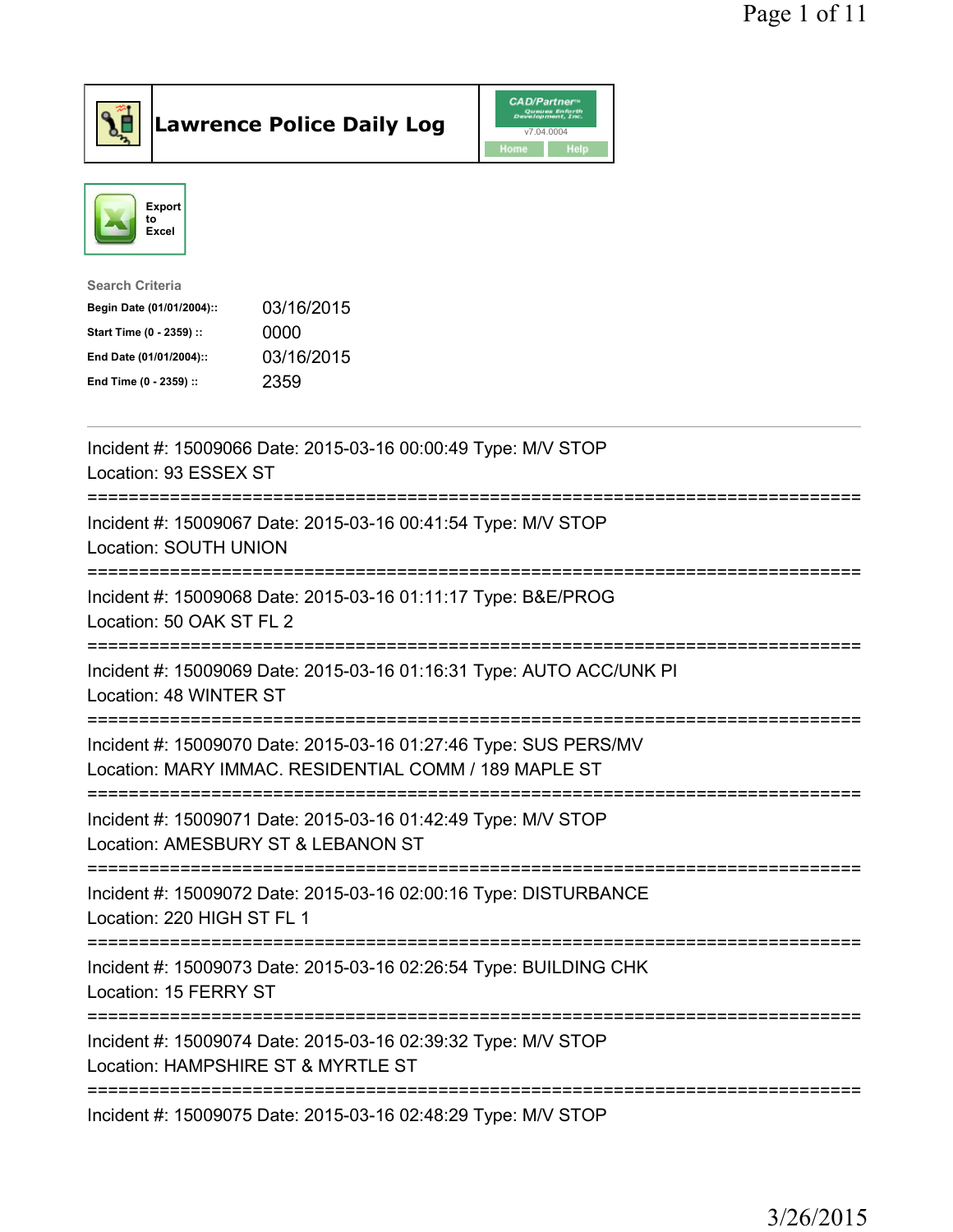



| <b>Search Criteria</b>    |            |
|---------------------------|------------|
| Begin Date (01/01/2004):: | 03/16/2015 |
| Start Time (0 - 2359) ::  | 0000       |
| End Date (01/01/2004)::   | 03/16/2015 |
| End Time (0 - 2359) ::    | 2359       |
|                           |            |

| Incident #: 15009066 Date: 2015-03-16 00:00:49 Type: M/V STOP<br>Location: 93 ESSEX ST                                                                            |
|-------------------------------------------------------------------------------------------------------------------------------------------------------------------|
| Incident #: 15009067 Date: 2015-03-16 00:41:54 Type: M/V STOP<br><b>Location: SOUTH UNION</b>                                                                     |
| Incident #: 15009068 Date: 2015-03-16 01:11:17 Type: B&E/PROG<br>Location: 50 OAK ST FL 2                                                                         |
| Incident #: 15009069 Date: 2015-03-16 01:16:31 Type: AUTO ACC/UNK PI<br>Location: 48 WINTER ST                                                                    |
| Incident #: 15009070 Date: 2015-03-16 01:27:46 Type: SUS PERS/MV<br>Location: MARY IMMAC. RESIDENTIAL COMM / 189 MAPLE ST<br>------------------------------------ |
| Incident #: 15009071 Date: 2015-03-16 01:42:49 Type: M/V STOP<br>Location: AMESBURY ST & LEBANON ST<br>==============================                             |
| Incident #: 15009072 Date: 2015-03-16 02:00:16 Type: DISTURBANCE<br>Location: 220 HIGH ST FL 1                                                                    |
| ------------------------------------<br>Incident #: 15009073 Date: 2015-03-16 02:26:54 Type: BUILDING CHK<br>Location: 15 FERRY ST                                |
| Incident #: 15009074 Date: 2015-03-16 02:39:32 Type: M/V STOP<br>Location: HAMPSHIRE ST & MYRTLE ST                                                               |
| Incident #: 15009075 Date: 2015-03-16 02:48:29 Type: M/V STOP                                                                                                     |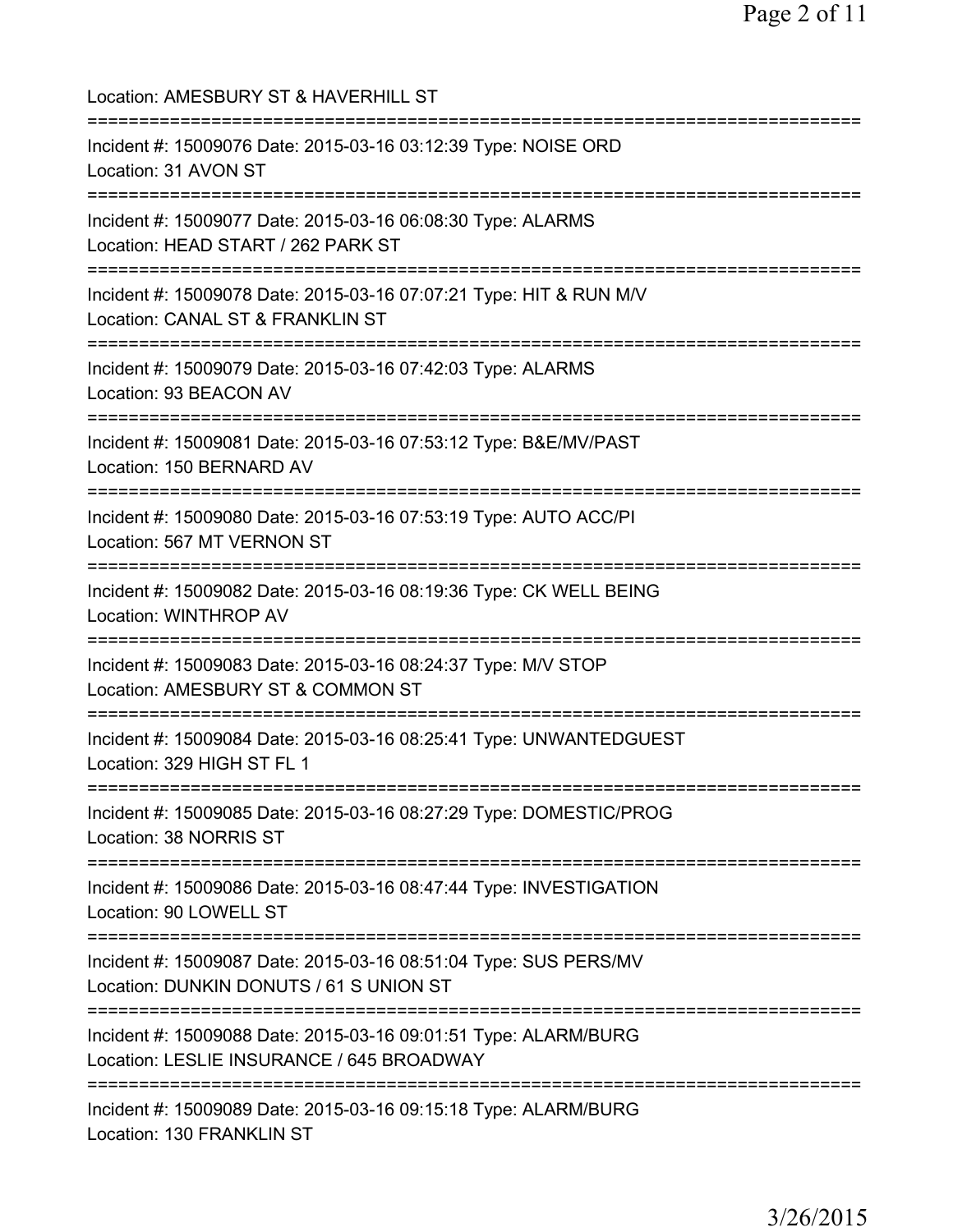Location: AMESBURY ST & HAVERHILL ST =========================================================================== Incident #: 15009076 Date: 2015-03-16 03:12:39 Type: NOISE ORD Location: 31 AVON ST =========================================================================== Incident #: 15009077 Date: 2015-03-16 06:08:30 Type: ALARMS Location: HEAD START / 262 PARK ST =========================================================================== Incident #: 15009078 Date: 2015-03-16 07:07:21 Type: HIT & RUN M/V Location: CANAL ST & FRANKLIN ST =========================================================================== Incident #: 15009079 Date: 2015-03-16 07:42:03 Type: ALARMS Location: 93 BEACON AV =========================================================================== Incident #: 15009081 Date: 2015-03-16 07:53:12 Type: B&E/MV/PAST Location: 150 BERNARD AV =========================================================================== Incident #: 15009080 Date: 2015-03-16 07:53:19 Type: AUTO ACC/PI Location: 567 MT VERNON ST =========================================================================== Incident #: 15009082 Date: 2015-03-16 08:19:36 Type: CK WELL BEING Location: WINTHROP AV =========================================================================== Incident #: 15009083 Date: 2015-03-16 08:24:37 Type: M/V STOP Location: AMESBURY ST & COMMON ST =========================================================================== Incident #: 15009084 Date: 2015-03-16 08:25:41 Type: UNWANTEDGUEST Location: 329 HIGH ST FL 1 =========================================================================== Incident #: 15009085 Date: 2015-03-16 08:27:29 Type: DOMESTIC/PROG Location: 38 NORRIS ST =========================================================================== Incident #: 15009086 Date: 2015-03-16 08:47:44 Type: INVESTIGATION Location: 90 LOWELL ST =========================================================================== Incident #: 15009087 Date: 2015-03-16 08:51:04 Type: SUS PERS/MV Location: DUNKIN DONUTS / 61 S UNION ST =========================================================================== Incident #: 15009088 Date: 2015-03-16 09:01:51 Type: ALARM/BURG Location: LESLIE INSURANCE / 645 BROADWAY =========================================================================== Incident #: 15009089 Date: 2015-03-16 09:15:18 Type: ALARM/BURG Location: 130 FRANKLIN ST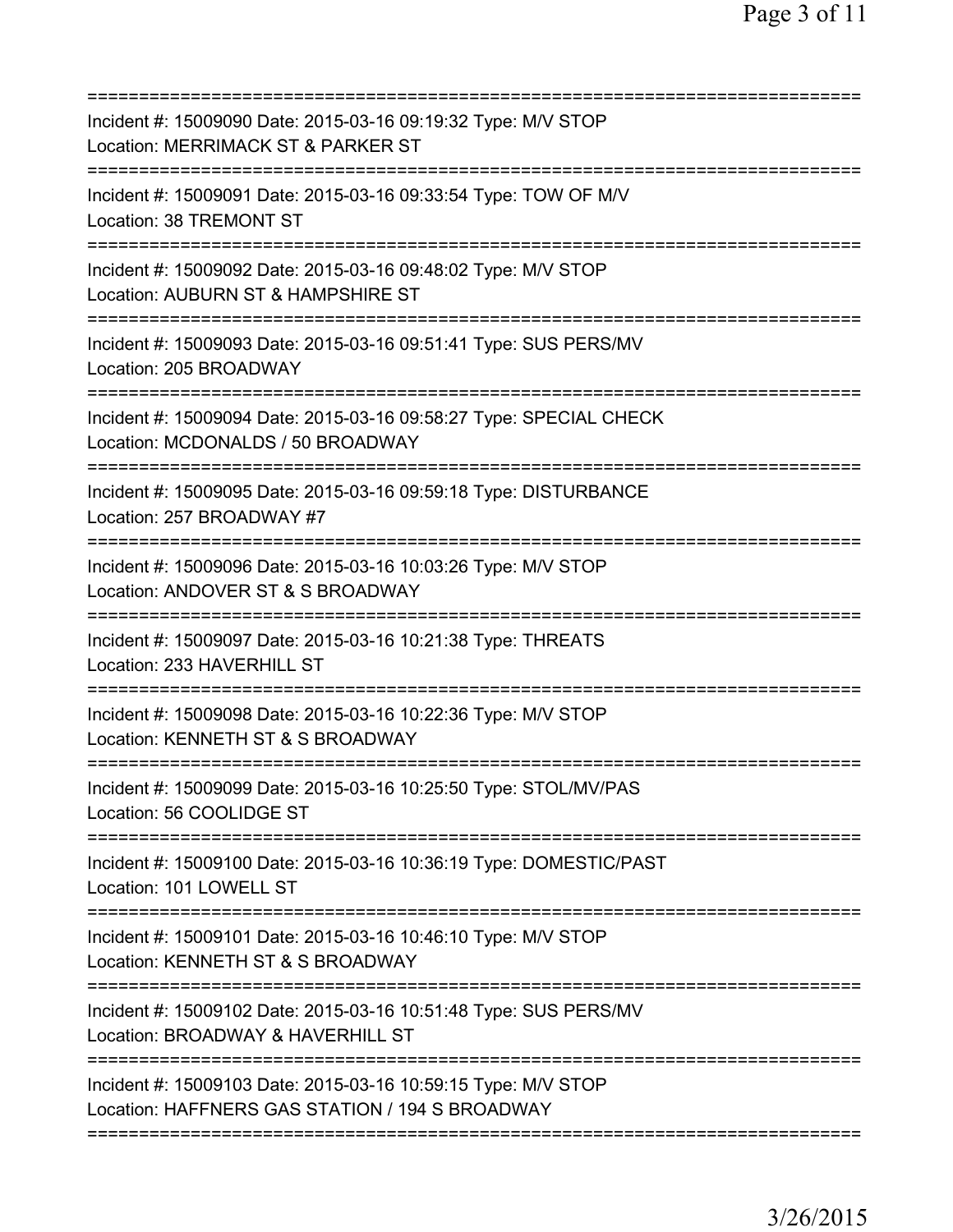| Incident #: 15009090 Date: 2015-03-16 09:19:32 Type: M/V STOP<br>Location: MERRIMACK ST & PARKER ST                             |
|---------------------------------------------------------------------------------------------------------------------------------|
| Incident #: 15009091 Date: 2015-03-16 09:33:54 Type: TOW OF M/V<br>Location: 38 TREMONT ST                                      |
| Incident #: 15009092 Date: 2015-03-16 09:48:02 Type: M/V STOP<br>Location: AUBURN ST & HAMPSHIRE ST<br>======================== |
| Incident #: 15009093 Date: 2015-03-16 09:51:41 Type: SUS PERS/MV<br>Location: 205 BROADWAY                                      |
| Incident #: 15009094 Date: 2015-03-16 09:58:27 Type: SPECIAL CHECK<br>Location: MCDONALDS / 50 BROADWAY                         |
| ;==========================<br>Incident #: 15009095 Date: 2015-03-16 09:59:18 Type: DISTURBANCE<br>Location: 257 BROADWAY #7    |
| Incident #: 15009096 Date: 2015-03-16 10:03:26 Type: M/V STOP<br>Location: ANDOVER ST & S BROADWAY                              |
| Incident #: 15009097 Date: 2015-03-16 10:21:38 Type: THREATS<br>Location: 233 HAVERHILL ST                                      |
| Incident #: 15009098 Date: 2015-03-16 10:22:36 Type: M/V STOP<br>Location: KENNETH ST & S BROADWAY                              |
| Incident #: 15009099 Date: 2015-03-16 10:25:50 Type: STOL/MV/PAS<br>Location: 56 COOLIDGE ST                                    |
| Incident #: 15009100 Date: 2015-03-16 10:36:19 Type: DOMESTIC/PAST<br>Location: 101 LOWELL ST                                   |
| Incident #: 15009101 Date: 2015-03-16 10:46:10 Type: M/V STOP<br>Location: KENNETH ST & S BROADWAY                              |
| Incident #: 15009102 Date: 2015-03-16 10:51:48 Type: SUS PERS/MV<br>Location: BROADWAY & HAVERHILL ST                           |
| Incident #: 15009103 Date: 2015-03-16 10:59:15 Type: M/V STOP<br>Location: HAFFNERS GAS STATION / 194 S BROADWAY                |
|                                                                                                                                 |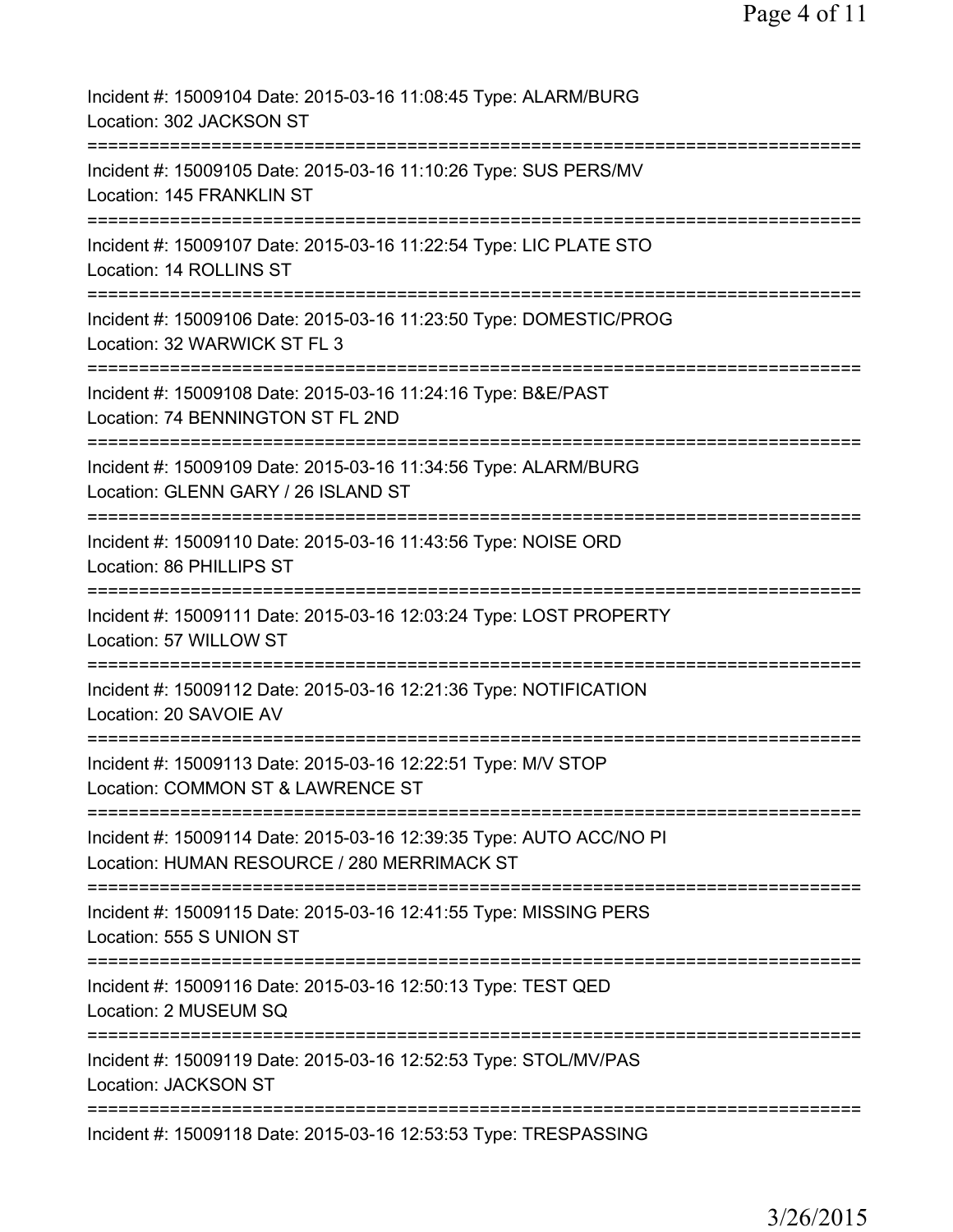| Incident #: 15009104 Date: 2015-03-16 11:08:45 Type: ALARM/BURG<br>Location: 302 JACKSON ST                        |
|--------------------------------------------------------------------------------------------------------------------|
| Incident #: 15009105 Date: 2015-03-16 11:10:26 Type: SUS PERS/MV<br>Location: 145 FRANKLIN ST                      |
| Incident #: 15009107 Date: 2015-03-16 11:22:54 Type: LIC PLATE STO<br>Location: 14 ROLLINS ST                      |
| Incident #: 15009106 Date: 2015-03-16 11:23:50 Type: DOMESTIC/PROG<br>Location: 32 WARWICK ST FL 3                 |
| Incident #: 15009108 Date: 2015-03-16 11:24:16 Type: B&E/PAST<br>Location: 74 BENNINGTON ST FL 2ND                 |
| Incident #: 15009109 Date: 2015-03-16 11:34:56 Type: ALARM/BURG<br>Location: GLENN GARY / 26 ISLAND ST             |
| Incident #: 15009110 Date: 2015-03-16 11:43:56 Type: NOISE ORD<br>Location: 86 PHILLIPS ST                         |
| Incident #: 15009111 Date: 2015-03-16 12:03:24 Type: LOST PROPERTY<br>Location: 57 WILLOW ST                       |
| ==================<br>Incident #: 15009112 Date: 2015-03-16 12:21:36 Type: NOTIFICATION<br>Location: 20 SAVOIE AV  |
| Incident #: 15009113 Date: 2015-03-16 12:22:51 Type: M/V STOP<br>Location: COMMON ST & LAWRENCE ST                 |
| Incident #: 15009114 Date: 2015-03-16 12:39:35 Type: AUTO ACC/NO PI<br>Location: HUMAN RESOURCE / 280 MERRIMACK ST |
| Incident #: 15009115 Date: 2015-03-16 12:41:55 Type: MISSING PERS<br>Location: 555 S UNION ST                      |
| Incident #: 15009116 Date: 2015-03-16 12:50:13 Type: TEST QED<br>Location: 2 MUSEUM SQ                             |
| Incident #: 15009119 Date: 2015-03-16 12:52:53 Type: STOL/MV/PAS<br><b>Location: JACKSON ST</b>                    |
| Incident #: 15009118 Date: 2015-03-16 12:53:53 Type: TRESPASSING                                                   |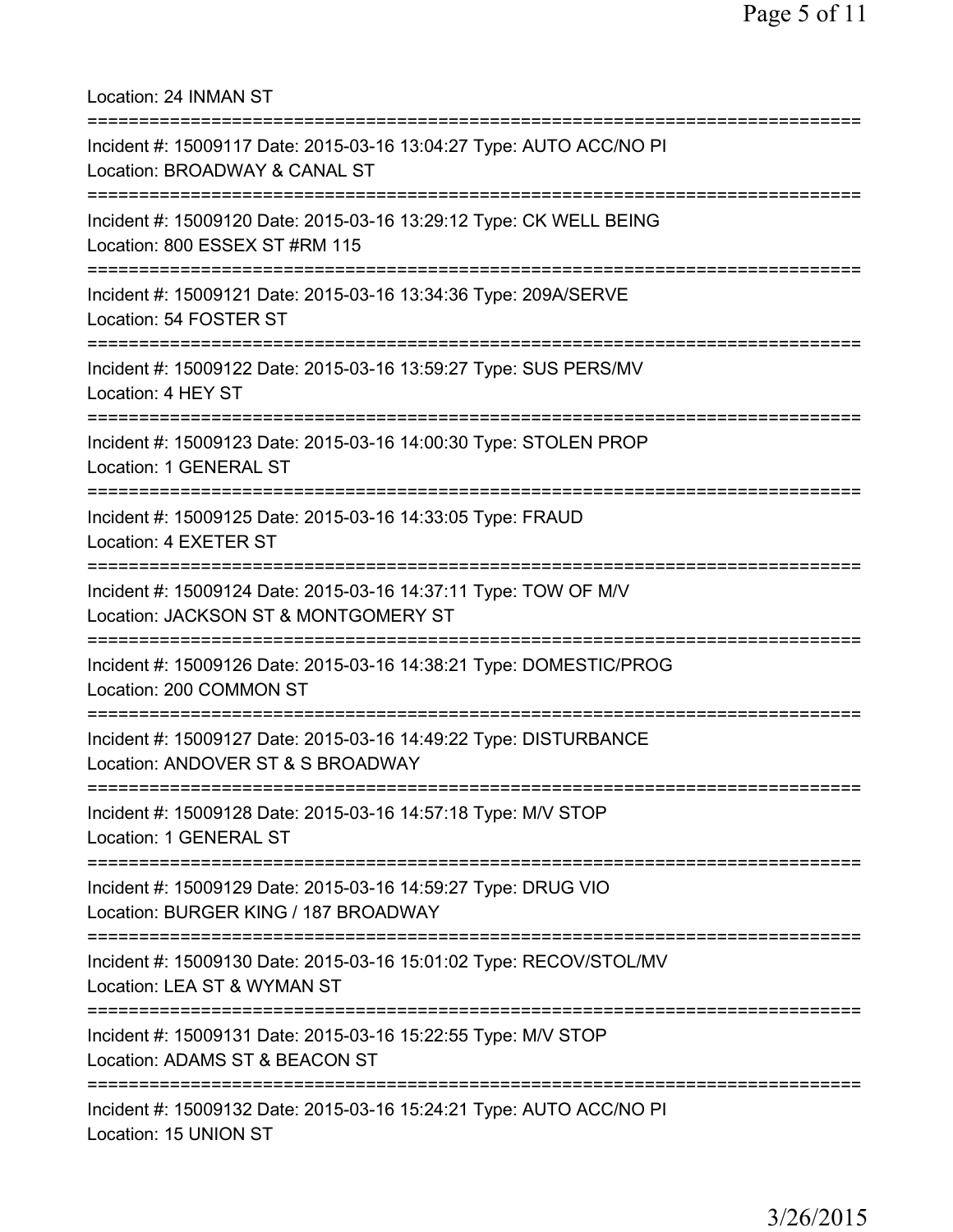Location: 24 INMAN ST =========================================================================== Incident #: 15009117 Date: 2015-03-16 13:04:27 Type: AUTO ACC/NO PI Location: BROADWAY & CANAL ST =========================================================================== Incident #: 15009120 Date: 2015-03-16 13:29:12 Type: CK WELL BEING Location: 800 ESSEX ST #RM 115 =========================================================================== Incident #: 15009121 Date: 2015-03-16 13:34:36 Type: 209A/SERVE Location: 54 FOSTER ST =========================================================================== Incident #: 15009122 Date: 2015-03-16 13:59:27 Type: SUS PERS/MV Location: 4 HEY ST =========================================================================== Incident #: 15009123 Date: 2015-03-16 14:00:30 Type: STOLEN PROP Location: 1 GENERAL ST =========================================================================== Incident #: 15009125 Date: 2015-03-16 14:33:05 Type: FRAUD Location: 4 EXETER ST =========================================================================== Incident #: 15009124 Date: 2015-03-16 14:37:11 Type: TOW OF M/V Location: JACKSON ST & MONTGOMERY ST =========================================================================== Incident #: 15009126 Date: 2015-03-16 14:38:21 Type: DOMESTIC/PROG Location: 200 COMMON ST =========================================================================== Incident #: 15009127 Date: 2015-03-16 14:49:22 Type: DISTURBANCE Location: ANDOVER ST & S BROADWAY =========================================================================== Incident #: 15009128 Date: 2015-03-16 14:57:18 Type: M/V STOP Location: 1 GENERAL ST =========================================================================== Incident #: 15009129 Date: 2015-03-16 14:59:27 Type: DRUG VIO Location: BURGER KING / 187 BROADWAY =========================================================================== Incident #: 15009130 Date: 2015-03-16 15:01:02 Type: RECOV/STOL/MV Location: LEA ST & WYMAN ST =========================================================================== Incident #: 15009131 Date: 2015-03-16 15:22:55 Type: M/V STOP Location: ADAMS ST & BEACON ST =========================================================================== Incident #: 15009132 Date: 2015-03-16 15:24:21 Type: AUTO ACC/NO PI Location: 15 UNION ST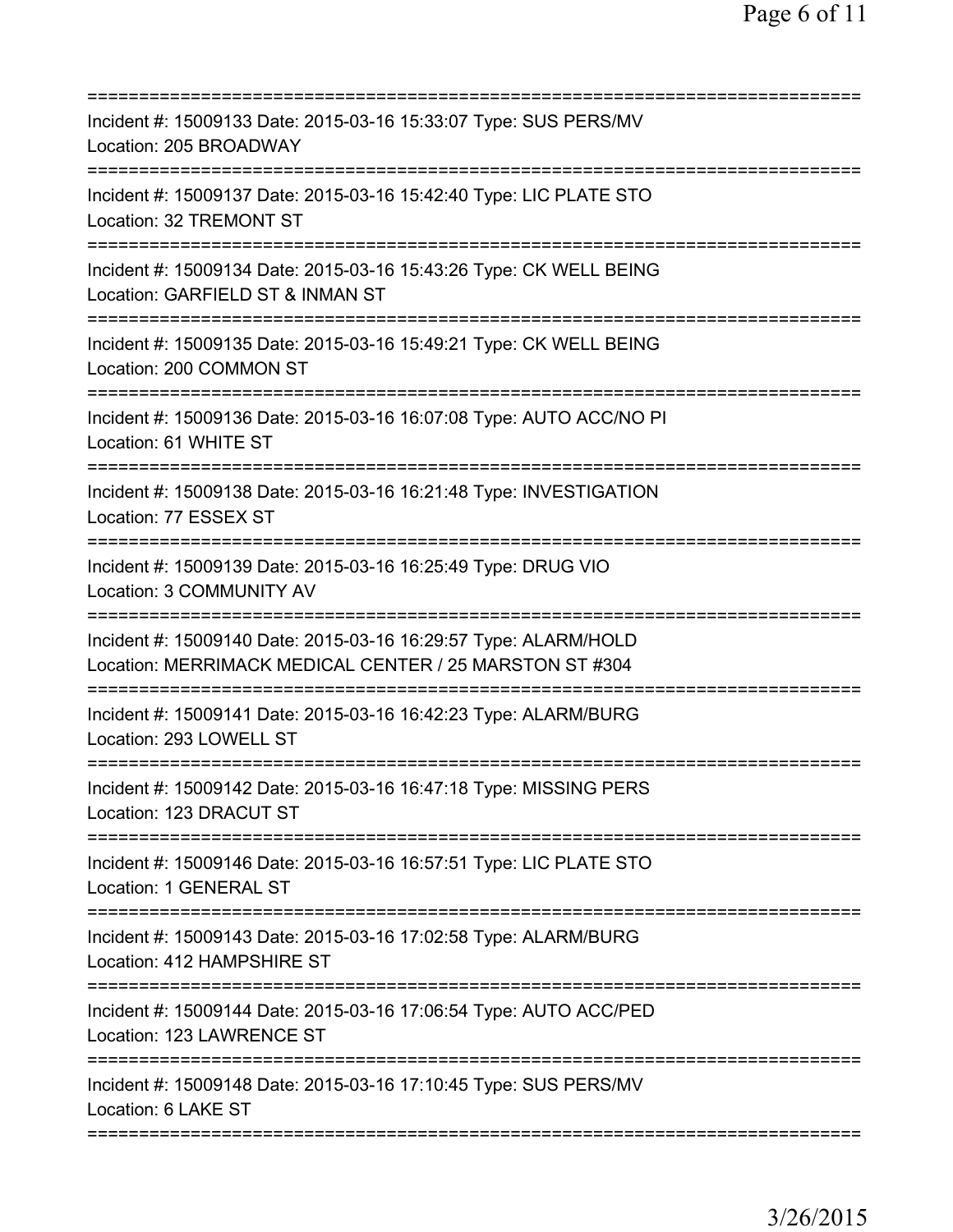| Incident #: 15009133 Date: 2015-03-16 15:33:07 Type: SUS PERS/MV<br>Location: 205 BROADWAY                                 |
|----------------------------------------------------------------------------------------------------------------------------|
| Incident #: 15009137 Date: 2015-03-16 15:42:40 Type: LIC PLATE STO<br>Location: 32 TREMONT ST                              |
| Incident #: 15009134 Date: 2015-03-16 15:43:26 Type: CK WELL BEING<br>Location: GARFIELD ST & INMAN ST                     |
| Incident #: 15009135 Date: 2015-03-16 15:49:21 Type: CK WELL BEING<br>Location: 200 COMMON ST                              |
| Incident #: 15009136 Date: 2015-03-16 16:07:08 Type: AUTO ACC/NO PI<br>Location: 61 WHITE ST                               |
| Incident #: 15009138 Date: 2015-03-16 16:21:48 Type: INVESTIGATION<br>Location: 77 ESSEX ST                                |
| Incident #: 15009139 Date: 2015-03-16 16:25:49 Type: DRUG VIO<br>Location: 3 COMMUNITY AV<br>:============                 |
| Incident #: 15009140 Date: 2015-03-16 16:29:57 Type: ALARM/HOLD<br>Location: MERRIMACK MEDICAL CENTER / 25 MARSTON ST #304 |
| Incident #: 15009141 Date: 2015-03-16 16:42:23 Type: ALARM/BURG<br>Location: 293 LOWELL ST                                 |
| Incident #: 15009142 Date: 2015-03-16 16:47:18 Type: MISSING PERS<br>Location: 123 DRACUT ST                               |
| Incident #: 15009146 Date: 2015-03-16 16:57:51 Type: LIC PLATE STO<br>Location: 1 GENERAL ST                               |
| Incident #: 15009143 Date: 2015-03-16 17:02:58 Type: ALARM/BURG<br>Location: 412 HAMPSHIRE ST                              |
| Incident #: 15009144 Date: 2015-03-16 17:06:54 Type: AUTO ACC/PED<br>Location: 123 LAWRENCE ST                             |
| Incident #: 15009148 Date: 2015-03-16 17:10:45 Type: SUS PERS/MV<br>Location: 6 LAKE ST                                    |
|                                                                                                                            |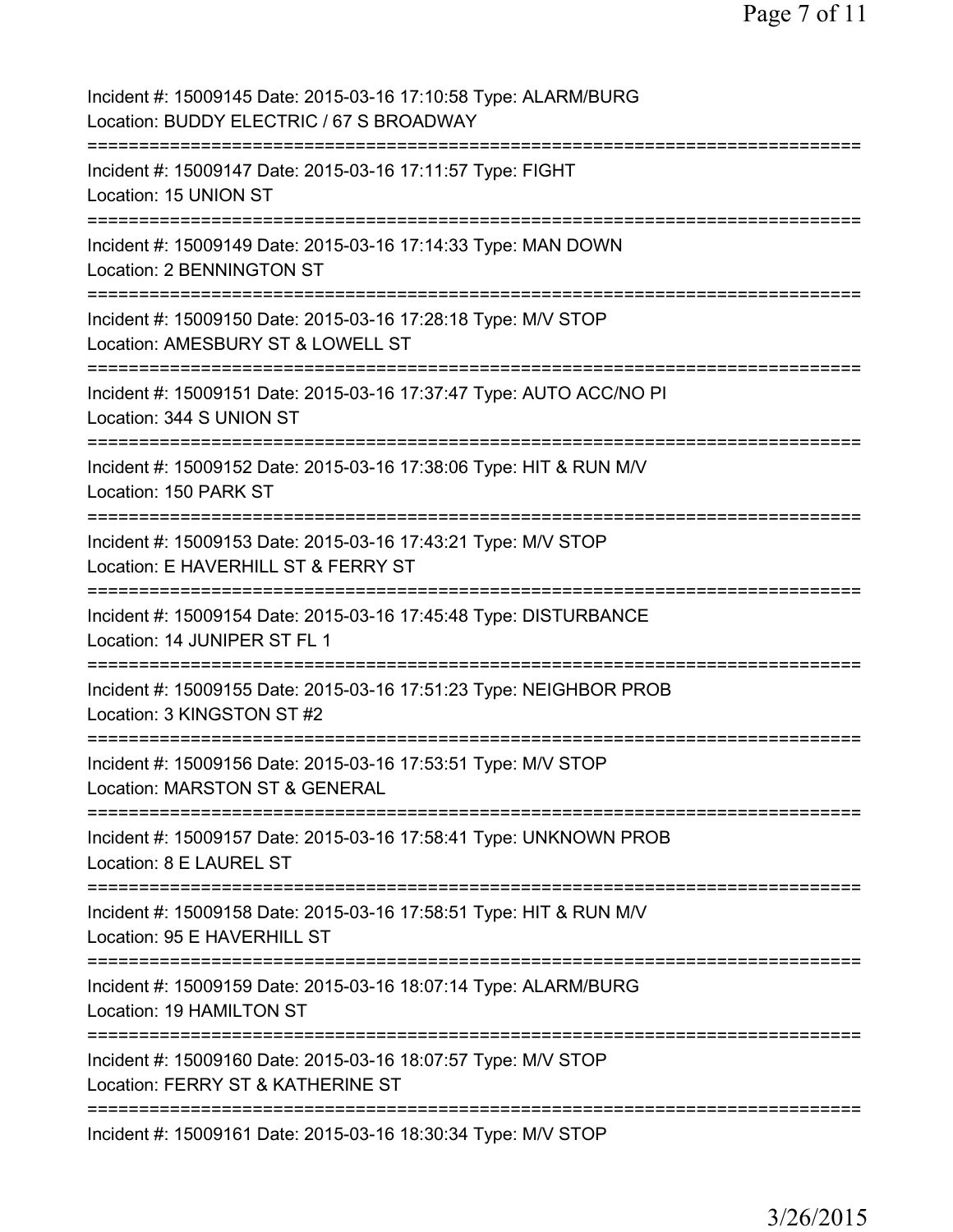| Incident #: 15009145 Date: 2015-03-16 17:10:58 Type: ALARM/BURG<br>Location: BUDDY ELECTRIC / 67 S BROADWAY                    |
|--------------------------------------------------------------------------------------------------------------------------------|
| Incident #: 15009147 Date: 2015-03-16 17:11:57 Type: FIGHT<br>Location: 15 UNION ST                                            |
| Incident #: 15009149 Date: 2015-03-16 17:14:33 Type: MAN DOWN<br>Location: 2 BENNINGTON ST<br>================================ |
| Incident #: 15009150 Date: 2015-03-16 17:28:18 Type: M/V STOP<br>Location: AMESBURY ST & LOWELL ST<br>=============            |
| Incident #: 15009151 Date: 2015-03-16 17:37:47 Type: AUTO ACC/NO PI<br>Location: 344 S UNION ST                                |
| Incident #: 15009152 Date: 2015-03-16 17:38:06 Type: HIT & RUN M/V<br>Location: 150 PARK ST                                    |
| Incident #: 15009153 Date: 2015-03-16 17:43:21 Type: M/V STOP<br>Location: E HAVERHILL ST & FERRY ST                           |
| Incident #: 15009154 Date: 2015-03-16 17:45:48 Type: DISTURBANCE<br>Location: 14 JUNIPER ST FL 1                               |
| Incident #: 15009155 Date: 2015-03-16 17:51:23 Type: NEIGHBOR PROB<br>Location: 3 KINGSTON ST #2                               |
| ====================<br>Incident #: 15009156 Date: 2015-03-16 17:53:51 Type: M/V STOP<br>Location: MARSTON ST & GENERAL        |
| Incident #: 15009157 Date: 2015-03-16 17:58:41 Type: UNKNOWN PROB<br>Location: 8 E LAUREL ST                                   |
| Incident #: 15009158 Date: 2015-03-16 17:58:51 Type: HIT & RUN M/V<br>Location: 95 E HAVERHILL ST                              |
| Incident #: 15009159 Date: 2015-03-16 18:07:14 Type: ALARM/BURG<br>Location: 19 HAMILTON ST                                    |
| Incident #: 15009160 Date: 2015-03-16 18:07:57 Type: M/V STOP<br>Location: FERRY ST & KATHERINE ST                             |
| Incident #: 15009161 Date: 2015-03-16 18:30:34 Type: M/V STOP                                                                  |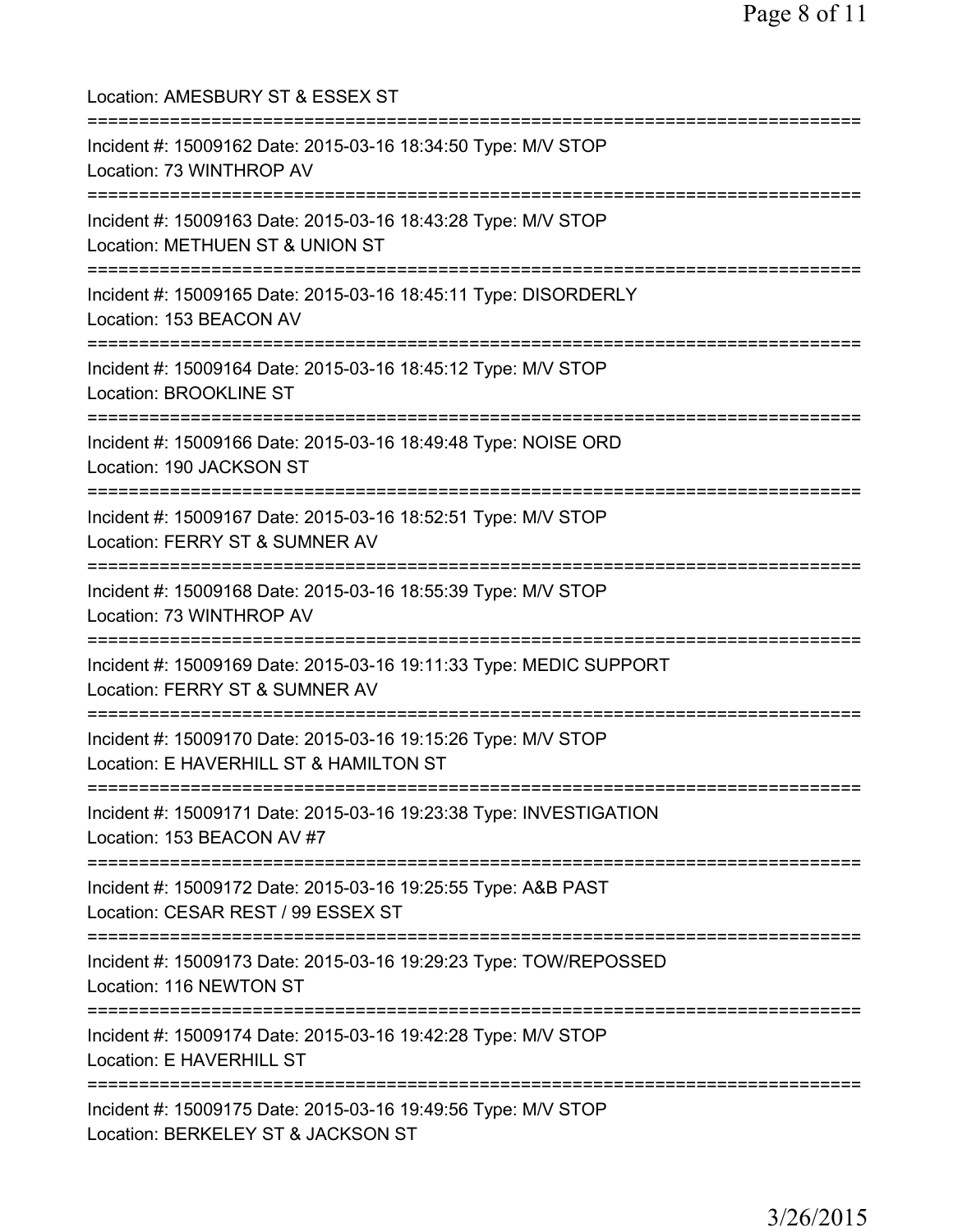| Location: AMESBURY ST & ESSEX ST                                                                                                        |
|-----------------------------------------------------------------------------------------------------------------------------------------|
| Incident #: 15009162 Date: 2015-03-16 18:34:50 Type: M/V STOP<br>Location: 73 WINTHROP AV                                               |
| Incident #: 15009163 Date: 2015-03-16 18:43:28 Type: M/V STOP<br>Location: METHUEN ST & UNION ST<br>=================================== |
| Incident #: 15009165 Date: 2015-03-16 18:45:11 Type: DISORDERLY<br>Location: 153 BEACON AV                                              |
| ==========================<br>Incident #: 15009164 Date: 2015-03-16 18:45:12 Type: M/V STOP<br><b>Location: BROOKLINE ST</b>            |
| :=========================<br>Incident #: 15009166 Date: 2015-03-16 18:49:48 Type: NOISE ORD<br>Location: 190 JACKSON ST                |
| Incident #: 15009167 Date: 2015-03-16 18:52:51 Type: M/V STOP<br>Location: FERRY ST & SUMNER AV                                         |
| Incident #: 15009168 Date: 2015-03-16 18:55:39 Type: M/V STOP<br>Location: 73 WINTHROP AV                                               |
| Incident #: 15009169 Date: 2015-03-16 19:11:33 Type: MEDIC SUPPORT<br>Location: FERRY ST & SUMNER AV                                    |
| Incident #: 15009170 Date: 2015-03-16 19:15:26 Type: M/V STOP<br>Location: E HAVERHILL ST & HAMILTON ST                                 |
| Incident #: 15009171 Date: 2015-03-16 19:23:38 Type: INVESTIGATION<br>Location: 153 BEACON AV #7                                        |
| Incident #: 15009172 Date: 2015-03-16 19:25:55 Type: A&B PAST<br>Location: CESAR REST / 99 ESSEX ST                                     |
| Incident #: 15009173 Date: 2015-03-16 19:29:23 Type: TOW/REPOSSED<br>Location: 116 NEWTON ST                                            |
| ====================<br>Incident #: 15009174 Date: 2015-03-16 19:42:28 Type: M/V STOP<br>Location: E HAVERHILL ST                       |
| Incident #: 15009175 Date: 2015-03-16 19:49:56 Type: M/V STOP<br>Location: BERKELEY ST & JACKSON ST                                     |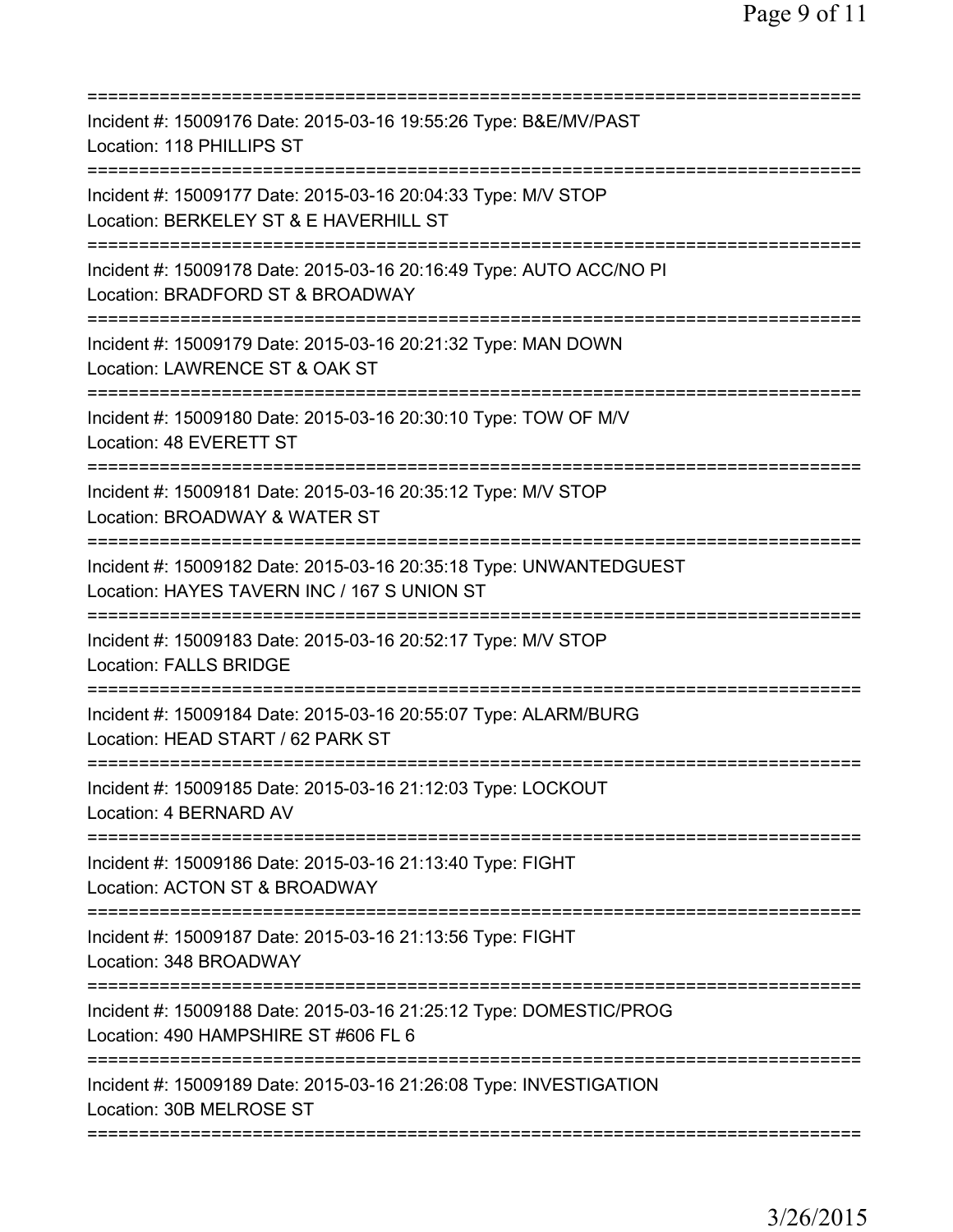| Incident #: 15009176 Date: 2015-03-16 19:55:26 Type: B&E/MV/PAST<br>Location: 118 PHILLIPS ST                                                                                                           |
|---------------------------------------------------------------------------------------------------------------------------------------------------------------------------------------------------------|
| Incident #: 15009177 Date: 2015-03-16 20:04:33 Type: M/V STOP<br>Location: BERKELEY ST & E HAVERHILL ST                                                                                                 |
| Incident #: 15009178 Date: 2015-03-16 20:16:49 Type: AUTO ACC/NO PI<br>Location: BRADFORD ST & BROADWAY                                                                                                 |
| Incident #: 15009179 Date: 2015-03-16 20:21:32 Type: MAN DOWN<br>Location: LAWRENCE ST & OAK ST<br>=========================                                                                            |
| Incident #: 15009180 Date: 2015-03-16 20:30:10 Type: TOW OF M/V<br>Location: 48 EVERETT ST                                                                                                              |
| Incident #: 15009181 Date: 2015-03-16 20:35:12 Type: M/V STOP<br>Location: BROADWAY & WATER ST                                                                                                          |
| ==========================<br>:===========<br>Incident #: 15009182 Date: 2015-03-16 20:35:18 Type: UNWANTEDGUEST<br>Location: HAYES TAVERN INC / 167 S UNION ST<br>==================================== |
| Incident #: 15009183 Date: 2015-03-16 20:52:17 Type: M/V STOP<br><b>Location: FALLS BRIDGE</b>                                                                                                          |
| Incident #: 15009184 Date: 2015-03-16 20:55:07 Type: ALARM/BURG<br>Location: HEAD START / 62 PARK ST                                                                                                    |
| Incident #: 15009185 Date: 2015-03-16 21:12:03 Type: LOCKOUT<br>Location: 4 BERNARD AV                                                                                                                  |
| Incident #: 15009186 Date: 2015-03-16 21:13:40 Type: FIGHT<br>Location: ACTON ST & BROADWAY                                                                                                             |
| Incident #: 15009187 Date: 2015-03-16 21:13:56 Type: FIGHT<br>Location: 348 BROADWAY                                                                                                                    |
| Incident #: 15009188 Date: 2015-03-16 21:25:12 Type: DOMESTIC/PROG<br>Location: 490 HAMPSHIRE ST #606 FL 6                                                                                              |
| ===============================<br>Incident #: 15009189 Date: 2015-03-16 21:26:08 Type: INVESTIGATION<br>Location: 30B MELROSE ST                                                                       |
|                                                                                                                                                                                                         |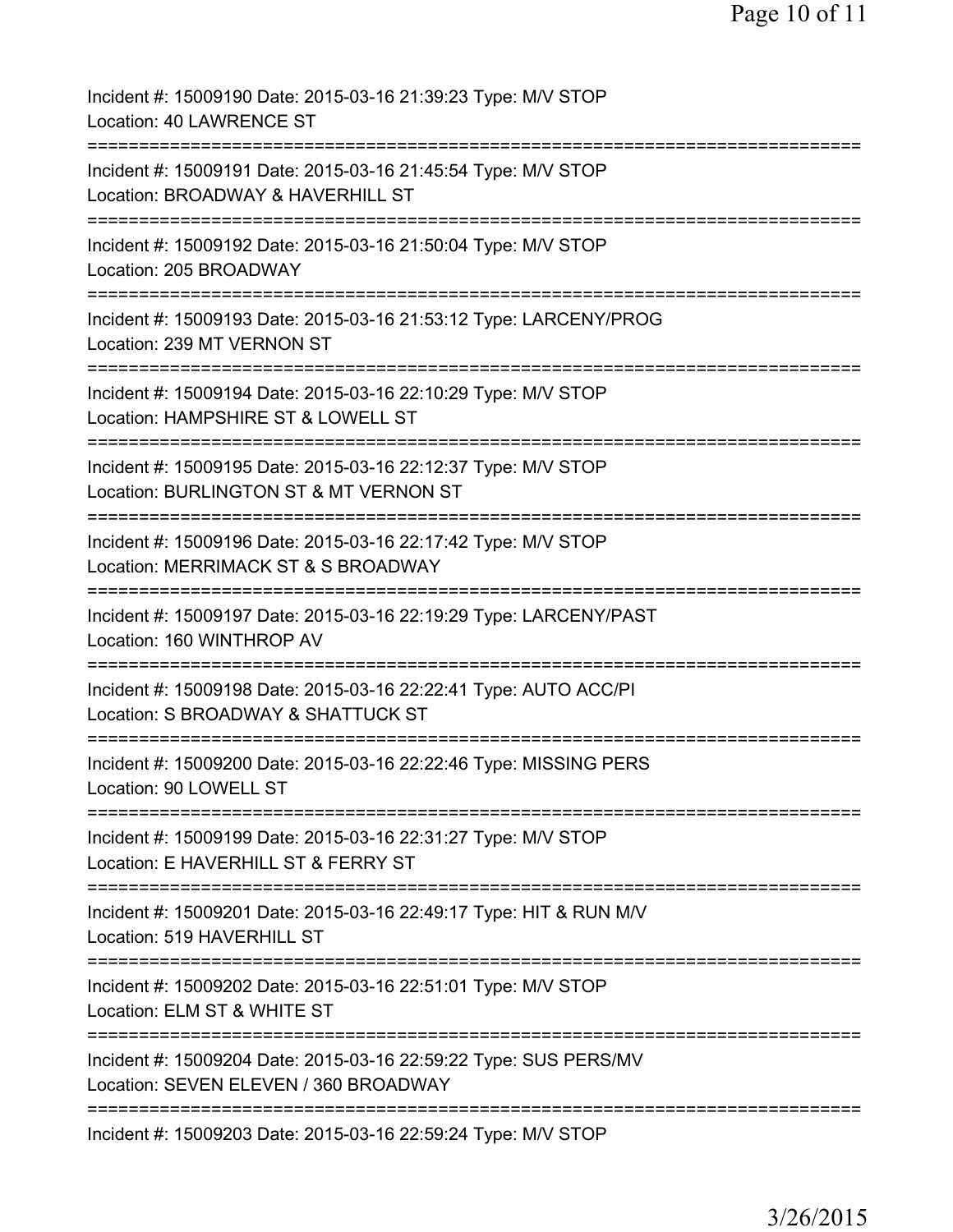| Incident #: 15009190 Date: 2015-03-16 21:39:23 Type: M/V STOP<br>Location: 40 LAWRENCE ST                                                                           |
|---------------------------------------------------------------------------------------------------------------------------------------------------------------------|
| =============<br>====================<br>====================<br>Incident #: 15009191 Date: 2015-03-16 21:45:54 Type: M/V STOP<br>Location: BROADWAY & HAVERHILL ST |
| ========================<br>Incident #: 15009192 Date: 2015-03-16 21:50:04 Type: M/V STOP<br>Location: 205 BROADWAY                                                 |
| Incident #: 15009193 Date: 2015-03-16 21:53:12 Type: LARCENY/PROG<br>Location: 239 MT VERNON ST                                                                     |
| Incident #: 15009194 Date: 2015-03-16 22:10:29 Type: M/V STOP<br>Location: HAMPSHIRE ST & LOWELL ST                                                                 |
| ---------------------<br>Incident #: 15009195 Date: 2015-03-16 22:12:37 Type: M/V STOP<br>Location: BURLINGTON ST & MT VERNON ST                                    |
| ==============================<br>Incident #: 15009196 Date: 2015-03-16 22:17:42 Type: M/V STOP<br>Location: MERRIMACK ST & S BROADWAY                              |
| ===========================<br>Incident #: 15009197 Date: 2015-03-16 22:19:29 Type: LARCENY/PAST<br>Location: 160 WINTHROP AV                                       |
| Incident #: 15009198 Date: 2015-03-16 22:22:41 Type: AUTO ACC/PI<br>Location: S BROADWAY & SHATTUCK ST                                                              |
| =============================<br>Incident #: 15009200 Date: 2015-03-16 22:22:46 Type: MISSING PERS<br>Location: 90 LOWELL ST                                        |
| Incident #: 15009199 Date: 2015-03-16 22:31:27 Type: M/V STOP<br>Location: E HAVERHILL ST & FERRY ST                                                                |
| Incident #: 15009201 Date: 2015-03-16 22:49:17 Type: HIT & RUN M/V<br>Location: 519 HAVERHILL ST                                                                    |
| Incident #: 15009202 Date: 2015-03-16 22:51:01 Type: M/V STOP<br>Location: ELM ST & WHITE ST                                                                        |
| Incident #: 15009204 Date: 2015-03-16 22:59:22 Type: SUS PERS/MV<br>Location: SEVEN ELEVEN / 360 BROADWAY                                                           |
| Incident #: 15009203 Date: 2015-03-16 22:59:24 Type: M/V STOP                                                                                                       |